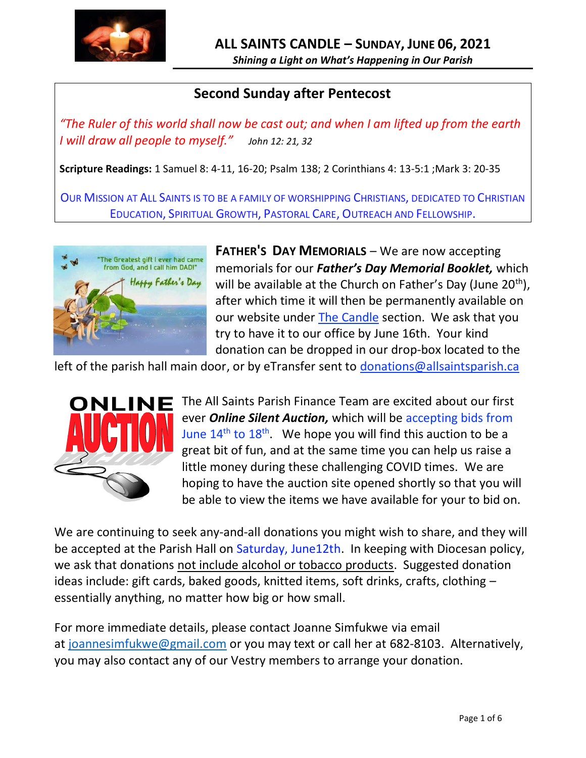

## **Second Sunday after Pentecost**

*"The Ruler of this world shall now be cast out; and when I am lifted up from the earth I will draw all people to myself." John 12: 21, 32* 

**Scripture Readings:** 1 Samuel 8: 4-11, 16-20; Psalm 138; 2 Corinthians 4: 13-5:1 ;Mark 3: 20-35

OUR MISSION AT ALL SAINTS IS TO BE A FAMILY OF WORSHIPPING CHRISTIANS, DEDICATED TO CHRISTIAN EDUCATION, SPIRITUAL GROWTH, PASTORAL CARE, OUTREACH AND FELLOWSHIP.



**FATHER'S DAY MEMORIALS** – We are now accepting memorials for our *Father's Day Memorial Booklet,* which will be available at the Church on Father's Day (June  $20<sup>th</sup>$ ), after which time it will then be permanently available on our website under [The Candle](http://allsaintsparish.ca/thecandle.html) section. We ask that you try to have it to our office by June 16th. Your kind donation can be dropped in our drop-box located to the

left of the parish hall main door, or by eTransfer sent to [donations@allsaintsparish.ca](mailto:donations@allsaintsparish.ca?subject=Father)



The All Saints Parish Finance Team are excited about our first ever *Online Silent Auction,* which will be accepting bids from June  $14^{th}$  to  $18^{th}$ . We hope you will find this auction to be a great bit of fun, and at the same time you can help us raise a little money during these challenging COVID times. We are hoping to have the auction site opened shortly so that you will be able to view the items we have available for your to bid on.

We are continuing to seek any-and-all donations you might wish to share, and they will be accepted at the Parish Hall on Saturday, June12th. In keeping with Diocesan policy, we ask that donations not include alcohol or tobacco products. Suggested donation ideas include: gift cards, baked goods, knitted items, soft drinks, crafts, clothing – essentially anything, no matter how big or how small.

For more immediate details, please contact Joanne Simfukwe via email at [joannesimfukwe@gmail.com](mailto:joannesimfukwe@gmail.com) or you may text or call her at 682-8103. Alternatively, you may also contact any of our Vestry members to arrange your donation.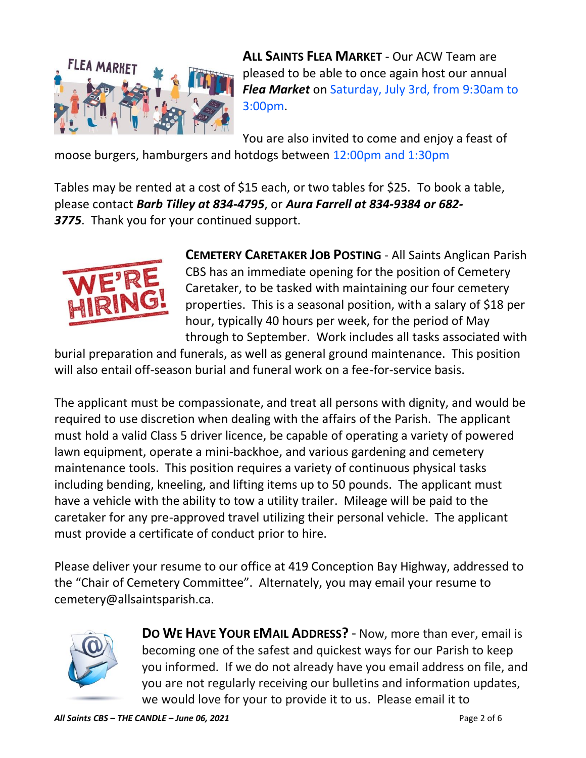

**ALL SAINTS FLEA MARKET** - Our ACW Team are pleased to be able to once again host our annual *Flea Market* on Saturday, July 3rd, from 9:30am to 3:00pm.

You are also invited to come and enjoy a feast of

moose burgers, hamburgers and hotdogs between 12:00pm and 1:30pm

Tables may be rented at a cost of \$15 each, or two tables for \$25. To book a table, please contact *Barb Tilley at 834-4795*, or *Aura Farrell at 834-9384 or 682- 3775*. Thank you for your continued support.



**CEMETERY CARETAKER JOB POSTING** - All Saints Anglican Parish CBS has an immediate opening for the position of Cemetery Caretaker, to be tasked with maintaining our four cemetery properties. This is a seasonal position, with a salary of \$18 per hour, typically 40 hours per week, for the period of May through to September. Work includes all tasks associated with

burial preparation and funerals, as well as general ground maintenance. This position will also entail off-season burial and funeral work on a fee-for-service basis.

The applicant must be compassionate, and treat all persons with dignity, and would be required to use discretion when dealing with the affairs of the Parish. The applicant must hold a valid Class 5 driver licence, be capable of operating a variety of powered lawn equipment, operate a mini-backhoe, and various gardening and cemetery maintenance tools. This position requires a variety of continuous physical tasks including bending, kneeling, and lifting items up to 50 pounds. The applicant must have a vehicle with the ability to tow a utility trailer. Mileage will be paid to the caretaker for any pre-approved travel utilizing their personal vehicle. The applicant must provide a certificate of conduct prior to hire.

Please deliver your resume to our office at 419 Conception Bay Highway, addressed to the "Chair of Cemetery Committee". Alternately, you may email your resume to cemetery@allsaintsparish.ca.



**DO WE HAVE YOUR EMAIL ADDRESS?** - Now, more than ever, email is becoming one of the safest and quickest ways for our Parish to keep you informed. If we do not already have you email address on file, and you are not regularly receiving our bulletins and information updates, we would love for your to provide it to us. Please email it to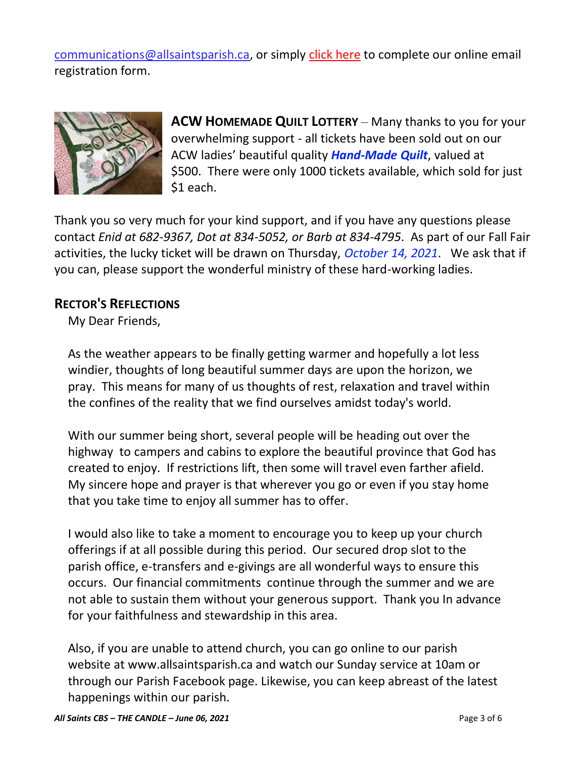[communications@allsaintsparish.ca,](mailto:communications@allsaintsparish.ca?subject=eMail%20Address%20Update) or simply [click here](http://allsaintsparish.ca/email_updates) to complete our online email registration form.



**ACW HOMEMADE QUILT LOTTERY** – Many thanks to you for your overwhelming support - all tickets have been sold out on our ACW ladies' beautiful quality *Hand-Made Quilt*, valued at \$500. There were only 1000 tickets available, which sold for just \$1 each.

Thank you so very much for your kind support, and if you have any questions please contact *Enid at 682-9367, Dot at 834-5052, or Barb at 834-4795*. As part of our Fall Fair activities, the lucky ticket will be drawn on Thursday, *October 14, 2021*. We ask that if you can, please support the wonderful ministry of these hard-working ladies.

## **RECTOR'S REFLECTIONS**

My Dear Friends,

As the weather appears to be finally getting warmer and hopefully a lot less windier, thoughts of long beautiful summer days are upon the horizon, we pray. This means for many of us thoughts of rest, relaxation and travel within the confines of the reality that we find ourselves amidst today's world.

With our summer being short, several people will be heading out over the highway to campers and cabins to explore the beautiful province that God has created to enjoy. If restrictions lift, then some will travel even farther afield. My sincere hope and prayer is that wherever you go or even if you stay home that you take time to enjoy all summer has to offer.

I would also like to take a moment to encourage you to keep up your church offerings if at all possible during this period. Our secured drop slot to the parish office, e-transfers and e-givings are all wonderful ways to ensure this occurs. Our financial commitments continue through the summer and we are not able to sustain them without your generous support. Thank you In advance for your faithfulness and stewardship in this area.

Also, if you are unable to attend church, you can go online to our parish website at www.allsaintsparish.ca and watch our Sunday service at 10am or through our Parish Facebook page. Likewise, you can keep abreast of the latest happenings within our parish.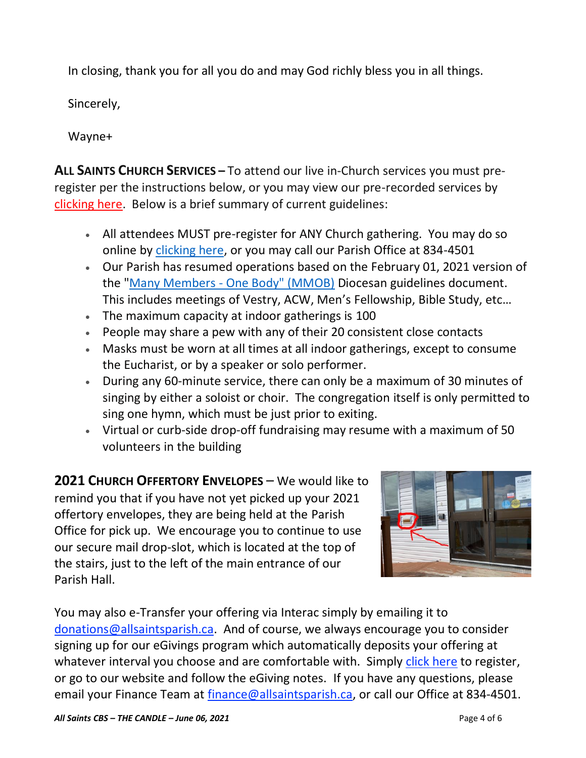In closing, thank you for all you do and may God richly bless you in all things.

Sincerely,

Wayne+

**ALL SAINTS CHURCH SERVICES –** To attend our live in-Church services you must preregister per the instructions below, or you may view our pre-recorded services by [clicking here.](http://allsaintsparish.ca/recorded-church-services) Below is a brief summary of current guidelines:

- All attendees MUST pre-register for ANY Church gathering. You may do so online by [clicking here,](http://allsaintsparish.ca/covid-pre-registration-form) or you may call our Parish Office at 834-4501
- Our Parish has resumed operations based on the February 01, 2021 version of the "Many Members - [One Body" \(MMOB\)](https://anglicanenl.net/home/wp-content/uploads/2021/02/Many-Members-One-Body-February-2021.pdf) Diocesan guidelines document. This includes meetings of Vestry, ACW, Men's Fellowship, Bible Study, etc…
- The maximum capacity at indoor gatherings is 100
- People may share a pew with any of their 20 consistent close contacts
- Masks must be worn at all times at all indoor gatherings, except to consume the Eucharist, or by a speaker or solo performer.
- During any 60-minute service, there can only be a maximum of 30 minutes of singing by either a soloist or choir. The congregation itself is only permitted to sing one hymn, which must be just prior to exiting.
- Virtual or curb-side drop-off fundraising may resume with a maximum of 50 volunteers in the building

**2021 CHURCH OFFERTORY ENVELOPES** – We would like to remind you that if you have not yet picked up your 2021 offertory envelopes, they are being held at the Parish Office for pick up. We encourage you to continue to use our secure mail drop-slot, which is located at the top of the stairs, just to the left of the main entrance of our Parish Hall.



You may also e-Transfer your offering via Interac simply by emailing it to [donations@allsaintsparish.ca.](mailto:donations@allsaintsparish.ca) And of course, we always encourage you to consider signing up for our eGivings program which automatically deposits your offering at whatever interval you choose and are comfortable with. Simply [click here](http://allsaintsparish.ca/egiving-online-information-form) to register, or go to our website and follow the eGiving notes. If you have [any](https://wfsites-to.websitecreatorprotool.com/870a5dd5.com/Admin/%7BSK_NODEID__22939341__SK%7D) questions, please email your Finance Team at [finance@allsaintsparish.ca,](mailto:finance@allsaintsparish.ca) or call our Office at 834-4501.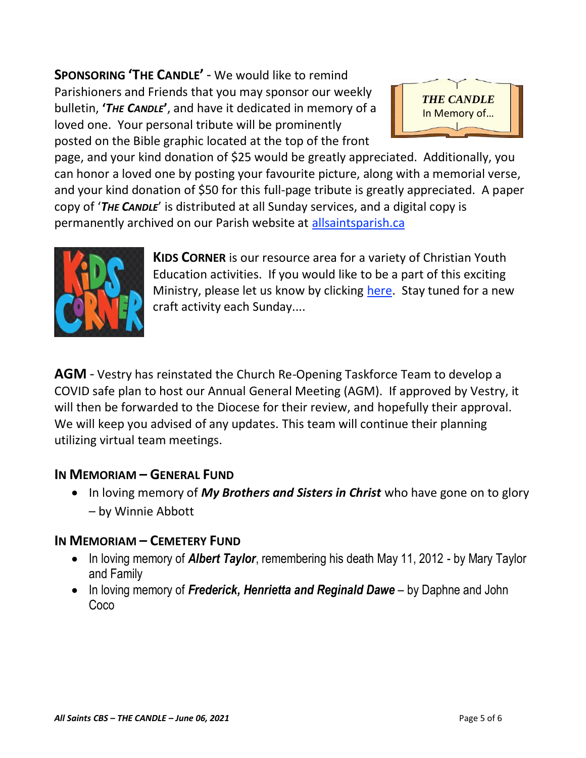**SPONSORING 'THE CANDLE'** - We would like to remind Parishioners and Friends that you may sponsor our weekly bulletin, **'***THE CANDLE***'**, and have it dedicated in memory of a loved one. Your personal tribute will be prominently posted on the Bible graphic located at the top of the front



page, and your kind donation of \$25 would be greatly appreciated. Additionally, you can honor a loved one by posting your favourite picture, along with a memorial verse, and your kind donation of \$50 for this full-page tribute is greatly appreciated. A paper copy of '*THE CANDLE*' is distributed at all Sunday services, and a digital copy is permanently archived on our Parish website at [allsaintsparish.ca](http://allsaintsparish.ca/thecandle.html)



**KIDS CORNER** is our resource area for a variety of Christian Youth Education activities. If you would like to be a part of this exciting Ministry, please let us know by clicking [here.](http://allsaintsparish.ca/index.html#comments) Stay tuned for a new craft activity each Sunday....

**AGM** - Vestry has reinstated the Church Re-Opening Taskforce Team to develop a COVID safe plan to host our Annual General Meeting (AGM). If approved by Vestry, it will then be forwarded to the Diocese for their review, and hopefully their approval. We will keep you advised of any updates. This team will continue their planning utilizing virtual team meetings.

## **IN MEMORIAM – GENERAL FUND**

• In loving memory of *My Brothers and Sisters in Christ* who have gone on to glory – by Winnie Abbott

## **IN MEMORIAM – CEMETERY FUND**

- In loving memory of *Albert Taylor*, remembering his death May 11, 2012 by Mary Taylor and Family
- In loving memory of *Frederick, Henrietta and Reginald Dawe* by Daphne and John Coco